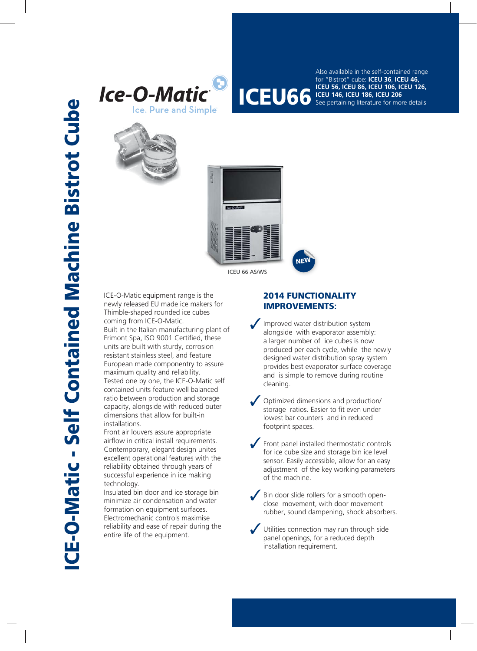



**ICEU 56, ICEU 86, ICEU 106, ICEU 126,**<br>**ICEU 66** See pertaining literature for more details Also available in the self-contained range for "Bistrot" cube: **ICEU 36**, **ICEU 46, ICEU 146, ICEU 186, ICEU 206** See pertaining literature for more details



ICEU 66 AS/WS

ICE-O-Matic equipment range is the newly released EU made ice makers for Thimble-shaped rounded ice cubes coming from ICE-O-Matic. Built in the Italian manufacturing plant of Frimont Spa, ISO 9001 Certified, these units are built with sturdy, corrosion resistant stainless steel, and feature European made componentry to assure maximum quality and reliability. Tested one by one, the ICE-O-Matic self contained units feature well balanced ratio between production and storage capacity, alongside with reduced outer dimensions that allow for built-in installations.

Front air louvers assure appropriate airflow in critical install requirements. Contemporary, elegant design unites excellent operational features with the reliability obtained through years of successful experience in ice making technology.

Insulated bin door and ice storage bin minimize air condensation and water formation on equipment surfaces. Electromechanic controls maximise reliability and ease of repair during the entire life of the equipment.

## **2014 FUNCTIONALITY FUNCTIONAL IMPROVEMENTS:**

**NEW**

- Improved water distribution system alongside with evaporator assembly: a larger number of ice cubes is now produced per each cycle, while the newly designed water distribution spray system provides best evaporator surface coverage and is simple to remove during routine cleaning.
- Optimized dimensions and production/ storage ratios. Easier to fit even under lowest bar counters and in reduced footprint spaces.
- Front panel installed thermostatic controls for ice cube size and storage bin ice level sensor. Easily accessible, allow for an easy adjustment of the key working parameters of the machine.
- Bin door slide rollers for a smooth openclose movement, with door movement rubber, sound dampening, shock absorbers.

Utilities connection may run through side panel openings, for a reduced depth installation requirement.